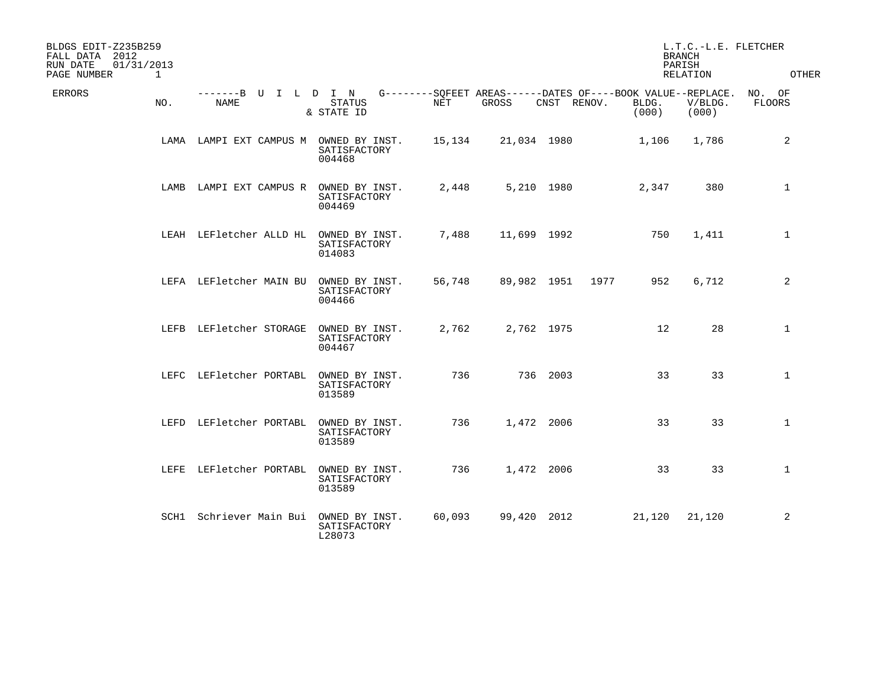| BLDGS EDIT-Z235B259<br>FALL DATA 2012<br>RUN DATE<br>PAGE NUMBER | 01/31/2013<br>$\mathbf 1$ |                                        |                                          |        |             |             |                                                             |                | L.T.C.-L.E. FLETCHER<br><b>BRANCH</b><br>PARISH<br>RELATION | OTHER            |
|------------------------------------------------------------------|---------------------------|----------------------------------------|------------------------------------------|--------|-------------|-------------|-------------------------------------------------------------|----------------|-------------------------------------------------------------|------------------|
| ERRORS                                                           | NO.                       | -------B U I L D I N<br>NAME           | <b>STATUS</b><br>& STATE ID              | NET    | GROSS       | CNST RENOV. | G--------SQFEET AREAS------DATES OF----BOOK VALUE--REPLACE. | BLDG.<br>(000) | V/BLDG.<br>(000)                                            | NO. OF<br>FLOORS |
|                                                                  |                           | LAMA LAMPI EXT CAMPUS M OWNED BY INST. | SATISFACTORY<br>004468                   | 15,134 | 21,034 1980 |             |                                                             | 1,106          | 1,786                                                       | 2                |
|                                                                  | LAMB                      | LAMPI EXT CAMPUS R                     | OWNED BY INST.<br>SATISFACTORY<br>004469 | 2,448  | 5,210 1980  |             |                                                             | 2,347          | 380                                                         | $\mathbf 1$      |
|                                                                  |                           | LEAH LEFletcher ALLD HL OWNED BY INST. | SATISFACTORY<br>014083                   | 7,488  | 11,699 1992 |             |                                                             | 750            | 1,411                                                       | $\mathbf{1}$     |
|                                                                  |                           | LEFA LEFletcher MAIN BU                | OWNED BY INST.<br>SATISFACTORY<br>004466 | 56,748 | 89,982 1951 |             | 1977                                                        | 952            | 6,712                                                       | 2                |
|                                                                  |                           | LEFB LEFletcher STORAGE                | OWNED BY INST.<br>SATISFACTORY<br>004467 | 2,762  | 2,762 1975  |             |                                                             | 12             | 28                                                          | $\mathbf 1$      |
|                                                                  |                           | LEFC LEFletcher PORTABL                | OWNED BY INST.<br>SATISFACTORY<br>013589 | 736    |             | 736 2003    |                                                             | 33             | 33                                                          | $\mathbf{1}$     |
|                                                                  |                           | LEFD LEFletcher PORTABL                | OWNED BY INST.<br>SATISFACTORY<br>013589 | 736    | 1,472 2006  |             |                                                             | 33             | 33                                                          | $\mathbf{1}$     |
|                                                                  |                           | LEFE LEFletcher PORTABL                | OWNED BY INST.<br>SATISFACTORY<br>013589 | 736    | 1,472 2006  |             |                                                             | 33             | 33                                                          | $\mathbf 1$      |
|                                                                  |                           | SCH1 Schriever Main Bui OWNED BY INST. | SATISFACTORY<br>L28073                   | 60,093 | 99,420 2012 |             |                                                             | 21,120         | 21,120                                                      | 2                |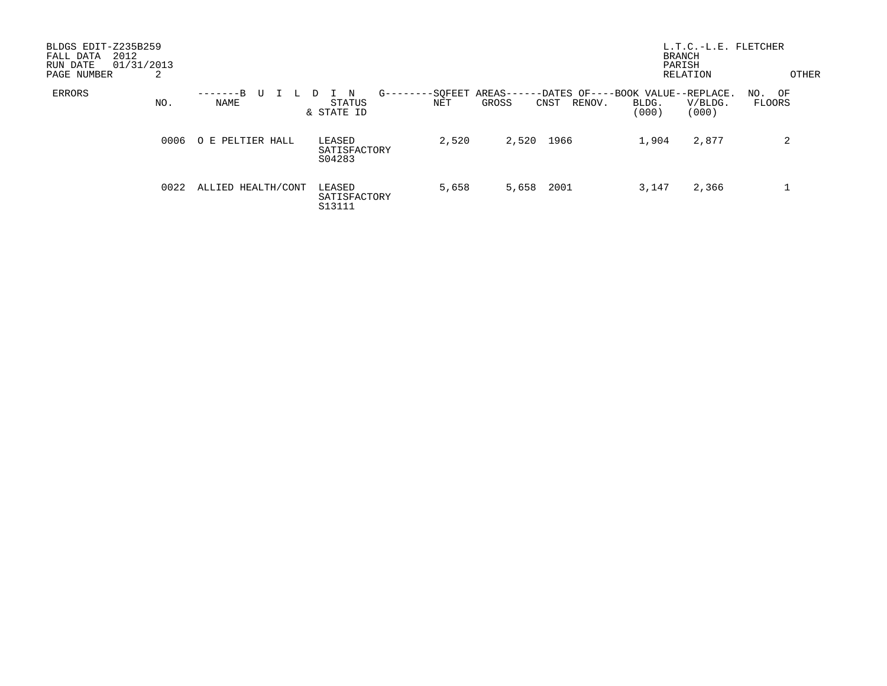| BLDGS EDIT-Z235B259<br>2012<br>FALL DATA<br>01/31/2013<br>RUN DATE<br>PAGE NUMBER | 2    |                    |                                               |                |                                   | <b>BRANCH</b><br>PARISH<br>RELATION                                     | L.T.C.-L.E. FLETCHER<br>OTHER |
|-----------------------------------------------------------------------------------|------|--------------------|-----------------------------------------------|----------------|-----------------------------------|-------------------------------------------------------------------------|-------------------------------|
| ERRORS                                                                            | NO.  | $-B$<br>U<br>NAME  | $G$ ––<br>N<br>$\Box$<br>STATUS<br>& STATE ID | -SOFEET<br>NET | AREAS-<br>GROSS<br>RENOV.<br>CNST | -DATES OF----BOOK VALUE--REPLACE.<br>BLDG.<br>V/BLDG.<br>(000)<br>(000) | NO. OF<br>FLOORS              |
|                                                                                   | 0006 | O E PELTIER HALL   | LEASED<br>SATISFACTORY<br>S04283              | 2,520          | 1966<br>2,520                     | 1,904<br>2,877                                                          | 2                             |
|                                                                                   | 0022 | ALLIED HEALTH/CONT | LEASED<br>SATISFACTORY<br>S13111              | 5,658          | 2001<br>5,658                     | 2,366<br>3,147                                                          |                               |